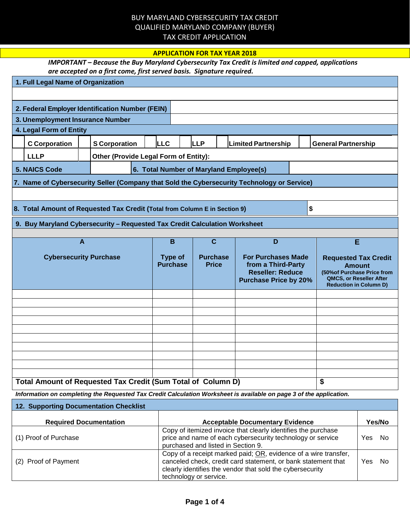## BUY MARYLAND CYBERSECURITY TAX CREDIT QUALIFIED MARYLAND COMPANY (BUYER) TAX CREDIT APPLICATION

## **APPLICATION FOR TAX YEAR 2018**

| IMPORTANT – Because the Buy Maryland Cybersecurity Tax Credit is limited and capped, applications |
|---------------------------------------------------------------------------------------------------|
| are accepted on a first come, first served basis. Signature required.                             |

|                               | 1. Full Legal Name of Organization                                               |                                                                            |                                         |                                                                                                            |                                                                                                                     |                                                                                                                                         |                            |
|-------------------------------|----------------------------------------------------------------------------------|----------------------------------------------------------------------------|-----------------------------------------|------------------------------------------------------------------------------------------------------------|---------------------------------------------------------------------------------------------------------------------|-----------------------------------------------------------------------------------------------------------------------------------------|----------------------------|
|                               |                                                                                  |                                                                            |                                         |                                                                                                            |                                                                                                                     |                                                                                                                                         |                            |
|                               |                                                                                  | 2. Federal Employer Identification Number (FEIN)                           |                                         |                                                                                                            |                                                                                                                     |                                                                                                                                         |                            |
|                               | 3. Unemployment Insurance Number                                                 |                                                                            |                                         |                                                                                                            |                                                                                                                     |                                                                                                                                         |                            |
|                               | 4. Legal Form of Entity                                                          |                                                                            |                                         |                                                                                                            |                                                                                                                     |                                                                                                                                         |                            |
|                               | <b>C</b> Corporation                                                             | <b>S</b> Corporation                                                       | <b>LLC</b>                              | <b>LLP</b>                                                                                                 | <b>Limited Partnership</b>                                                                                          |                                                                                                                                         | <b>General Partnership</b> |
|                               | <b>LLLP</b>                                                                      | Other (Provide Legal Form of Entity):                                      |                                         |                                                                                                            |                                                                                                                     |                                                                                                                                         |                            |
|                               | <b>5. NAICS Code</b>                                                             |                                                                            | 6. Total Number of Maryland Employee(s) |                                                                                                            |                                                                                                                     |                                                                                                                                         |                            |
|                               |                                                                                  |                                                                            |                                         |                                                                                                            | 7. Name of Cybersecurity Seller (Company that Sold the Cybersecurity Technology or Service)                         |                                                                                                                                         |                            |
|                               |                                                                                  |                                                                            |                                         |                                                                                                            |                                                                                                                     |                                                                                                                                         |                            |
|                               | \$<br>8. Total Amount of Requested Tax Credit (Total from Column E in Section 9) |                                                                            |                                         |                                                                                                            |                                                                                                                     |                                                                                                                                         |                            |
|                               |                                                                                  | 9. Buy Maryland Cybersecurity - Requested Tax Credit Calculation Worksheet |                                         |                                                                                                            |                                                                                                                     |                                                                                                                                         |                            |
|                               |                                                                                  |                                                                            |                                         |                                                                                                            |                                                                                                                     |                                                                                                                                         |                            |
|                               |                                                                                  | $\overline{A}$                                                             | B                                       | $\overline{\mathbf{c}}$                                                                                    | D                                                                                                                   |                                                                                                                                         | E                          |
| <b>Cybersecurity Purchase</b> |                                                                                  | <b>Type of</b><br><b>Purchase</b>                                          | <b>Purchase</b><br><b>Price</b>         | <b>For Purchases Made</b><br>from a Third-Party<br><b>Reseller: Reduce</b><br><b>Purchase Price by 20%</b> |                                                                                                                     | <b>Requested Tax Credit</b><br><b>Amount</b><br>(50% of Purchase Price from<br>QMCS, or Reseller After<br><b>Reduction in Column D)</b> |                            |
|                               |                                                                                  |                                                                            |                                         |                                                                                                            |                                                                                                                     |                                                                                                                                         |                            |
|                               |                                                                                  |                                                                            |                                         |                                                                                                            |                                                                                                                     |                                                                                                                                         |                            |
|                               |                                                                                  |                                                                            |                                         |                                                                                                            |                                                                                                                     |                                                                                                                                         |                            |
|                               |                                                                                  |                                                                            |                                         |                                                                                                            |                                                                                                                     |                                                                                                                                         |                            |
|                               |                                                                                  |                                                                            |                                         |                                                                                                            |                                                                                                                     |                                                                                                                                         |                            |
|                               |                                                                                  |                                                                            |                                         |                                                                                                            |                                                                                                                     |                                                                                                                                         |                            |
|                               |                                                                                  |                                                                            |                                         |                                                                                                            |                                                                                                                     |                                                                                                                                         |                            |
|                               |                                                                                  |                                                                            |                                         |                                                                                                            |                                                                                                                     |                                                                                                                                         |                            |
|                               |                                                                                  |                                                                            |                                         |                                                                                                            |                                                                                                                     |                                                                                                                                         |                            |
|                               |                                                                                  | Total Amount of Requested Tax Credit (Sum Total of Column D)               |                                         |                                                                                                            | Information on completing the Requested Tax Credit Calculation Worksheet is available on page 3 of the application. |                                                                                                                                         | \$                         |

| <b>12. Supporting Documentation Checklist</b> |                                                                                                                                                                                                                         |     |        |  |  |  |
|-----------------------------------------------|-------------------------------------------------------------------------------------------------------------------------------------------------------------------------------------------------------------------------|-----|--------|--|--|--|
| <b>Required Documentation</b>                 | <b>Acceptable Documentary Evidence</b>                                                                                                                                                                                  |     | Yes/No |  |  |  |
| (1) Proof of Purchase                         | Copy of itemized invoice that clearly identifies the purchase<br>price and name of each cybersecurity technology or service<br>purchased and listed in Section 9.                                                       | Yes | - No   |  |  |  |
| (2) Proof of Payment                          | Copy of a receipt marked paid; OR, evidence of a wire transfer,<br>canceled check, credit card statement, or bank statement that<br>clearly identifies the vendor that sold the cybersecurity<br>technology or service. | Yes | No     |  |  |  |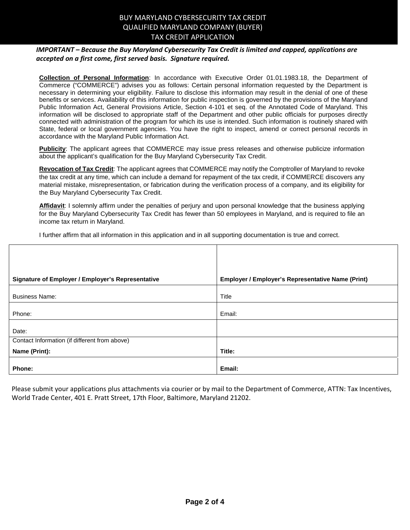### BUY MARYLAND CYBERSECURITY TAX CREDIT QUALIFIED MARYLAND COMPANY (BUYER) TAX CREDIT APPLICATION

#### *IMPORTANT – Because the Buy Maryland Cybersecurity Tax Credit is limited and capped, applications are accepted on a first come, first served basis. Signature required.*

**Collection of Personal Information**: In accordance with Executive Order 01.01.1983.18, the Department of Commerce ("COMMERCE") advises you as follows: Certain personal information requested by the Department is necessary in determining your eligibility. Failure to disclose this information may result in the denial of one of these benefits or services. Availability of this information for public inspection is governed by the provisions of the Maryland Public Information Act, General Provisions Article, Section 4-101 et seq. of the Annotated Code of Maryland. This information will be disclosed to appropriate staff of the Department and other public officials for purposes directly connected with administration of the program for which its use is intended. Such information is routinely shared with State, federal or local government agencies. You have the right to inspect, amend or correct personal records in accordance with the Maryland Public Information Act.

**Publicity**: The applicant agrees that COMMERCE may issue press releases and otherwise publicize information about the applicant's qualification for the Buy Maryland Cybersecurity Tax Credit.

**Revocation of Tax Credit**: The applicant agrees that COMMERCE may notify the Comptroller of Maryland to revoke the tax credit at any time, which can include a demand for repayment of the tax credit, if COMMERCE discovers any material mistake, misrepresentation, or fabrication during the verification process of a company, and its eligibility for the Buy Maryland Cybersecurity Tax Credit.

**Affidavit**: I solemnly affirm under the penalties of perjury and upon personal knowledge that the business applying for the Buy Maryland Cybersecurity Tax Credit has fewer than 50 employees in Maryland, and is required to file an income tax return in Maryland.

I further affirm that all information in this application and in all supporting documentation is true and correct.

| Signature of Employer / Employer's Representative | Employer / Employer's Representative Name (Print) |
|---------------------------------------------------|---------------------------------------------------|
|                                                   |                                                   |
| <b>Business Name:</b>                             | <b>Title</b>                                      |
|                                                   |                                                   |
| Phone:                                            | Email:                                            |
|                                                   |                                                   |
| Date:                                             |                                                   |
| Contact Information (if different from above)     |                                                   |
| Name (Print):                                     | Title:                                            |
|                                                   |                                                   |
| Phone:                                            | Email:                                            |

Please submit your applications plus attachments via courier or by mail to the Department of Commerce, ATTN: Tax Incentives, World Trade Center, 401 E. Pratt Street, 17th Floor, Baltimore, Maryland 21202.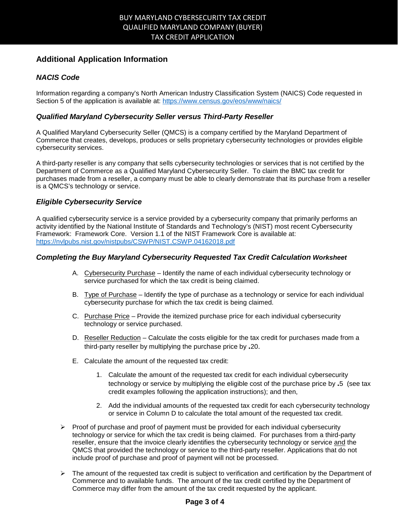## **Additional Application Information**

### *NACIS Code*

Information regarding a company's North American Industry Classification System (NAICS) Code requested in Section 5 of the application is available at: <https://www.census.gov/eos/www/naics/>

#### *Qualified Maryland Cybersecurity Seller versus Third-Party Reseller*

A Qualified Maryland Cybersecurity Seller (QMCS) is a company certified by the Maryland Department of Commerce that creates, develops, produces or sells proprietary cybersecurity technologies or provides eligible cybersecurity services.

A third-party reseller is any company that sells cybersecurity technologies or services that is not certified by the Department of Commerce as a Qualified Maryland Cybersecurity Seller. To claim the BMC tax credit for purchases made from a reseller, a company must be able to clearly demonstrate that its purchase from a reseller is a QMCS's technology or service.

#### *Eligible Cybersecurity Service*

A qualified cybersecurity service is a service provided by a cybersecurity company that primarily performs an activity identified by the National Institute of Standards and Technology's (NIST) most recent Cybersecurity Framework: Framework Core. Version 1.1 of the NIST Framework Core is available at: <https://nvlpubs.nist.gov/nistpubs/CSWP/NIST.CSWP.04162018.pdf>

#### *Completing the Buy Maryland Cybersecurity Requested Tax Credit Calculation Worksheet*

- A. Cybersecurity Purchase Identify the name of each individual cybersecurity technology or service purchased for which the tax credit is being claimed.
- B. Type of Purchase Identify the type of purchase as a technology or service for each individual cybersecurity purchase for which the tax credit is being claimed.
- C. Purchase Price Provide the itemized purchase price for each individual cybersecurity technology or service purchased.
- D. Reseller Reduction Calculate the costs eligible for the tax credit for purchases made from a third-party reseller by multiplying the purchase price by **.**20.
- E. Calculate the amount of the requested tax credit:
	- 1. Calculate the amount of the requested tax credit for each individual cybersecurity technology or service by multiplying the eligible cost of the purchase price by **.**5 (see tax credit examples following the application instructions); and then,
	- 2. Add the individual amounts of the requested tax credit for each cybersecurity technology or service in Column D to calculate the total amount of the requested tax credit.
- $\triangleright$  Proof of purchase and proof of payment must be provided for each individual cybersecurity technology or service for which the tax credit is being claimed. For purchases from a third-party reseller, ensure that the invoice clearly identifies the cybersecurity technology or service and the QMCS that provided the technology or service to the third-party reseller. Applications that do not include proof of purchase and proof of payment will not be processed.
- $\triangleright$  The amount of the requested tax credit is subject to verification and certification by the Department of Commerce and to available funds. The amount of the tax credit certified by the Department of Commerce may differ from the amount of the tax credit requested by the applicant.